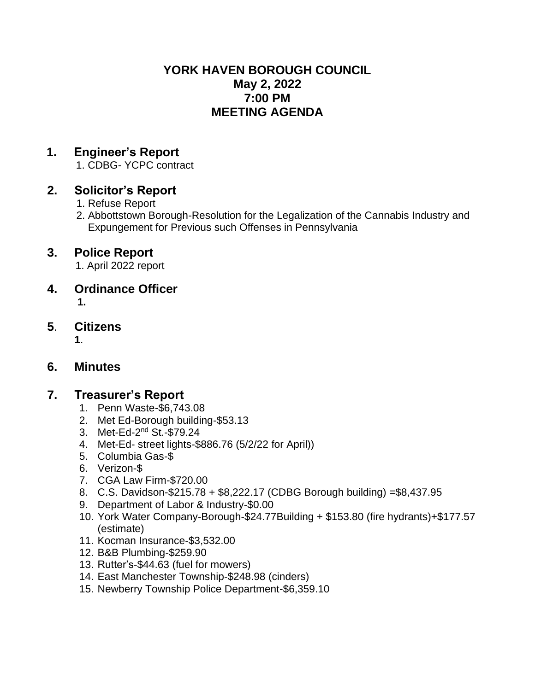#### **YORK HAVEN BOROUGH COUNCIL May 2, 2022 7:00 PM MEETING AGENDA**

## **1. Engineer's Report**

1. CDBG- YCPC contract

## **2. Solicitor's Report**

- 1. Refuse Report
- 2. Abbottstown Borough-Resolution for the Legalization of the Cannabis Industry and Expungement for Previous such Offenses in Pennsylvania

## **3. Police Report**

- 1. April 2022 report
- **4. Ordinance Officer**  $\mathbf{1}$

## **5**. **Citizens**

 **1**.

#### **6. Minutes**

#### **7. Treasurer's Report**

- 1. Penn Waste-\$6,743.08
- 2. Met Ed-Borough building-\$53.13
- 3. Met-Ed-2<sup>nd</sup> St.-\$79.24
- 4. Met-Ed- street lights-\$886.76 (5/2/22 for April))
- 5. Columbia Gas-\$
- 6. Verizon-\$
- 7. CGA Law Firm-\$720.00
- 8. C.S. Davidson-\$215.78 + \$8,222.17 (CDBG Borough building) =\$8,437.95
- 9. Department of Labor & Industry-\$0.00
- 10. York Water Company-Borough-\$24.77Building + \$153.80 (fire hydrants)+\$177.57 (estimate)
- 11. Kocman Insurance-\$3,532.00
- 12. B&B Plumbing-\$259.90
- 13. Rutter's-\$44.63 (fuel for mowers)
- 14. East Manchester Township-\$248.98 (cinders)
- 15. Newberry Township Police Department-\$6,359.10